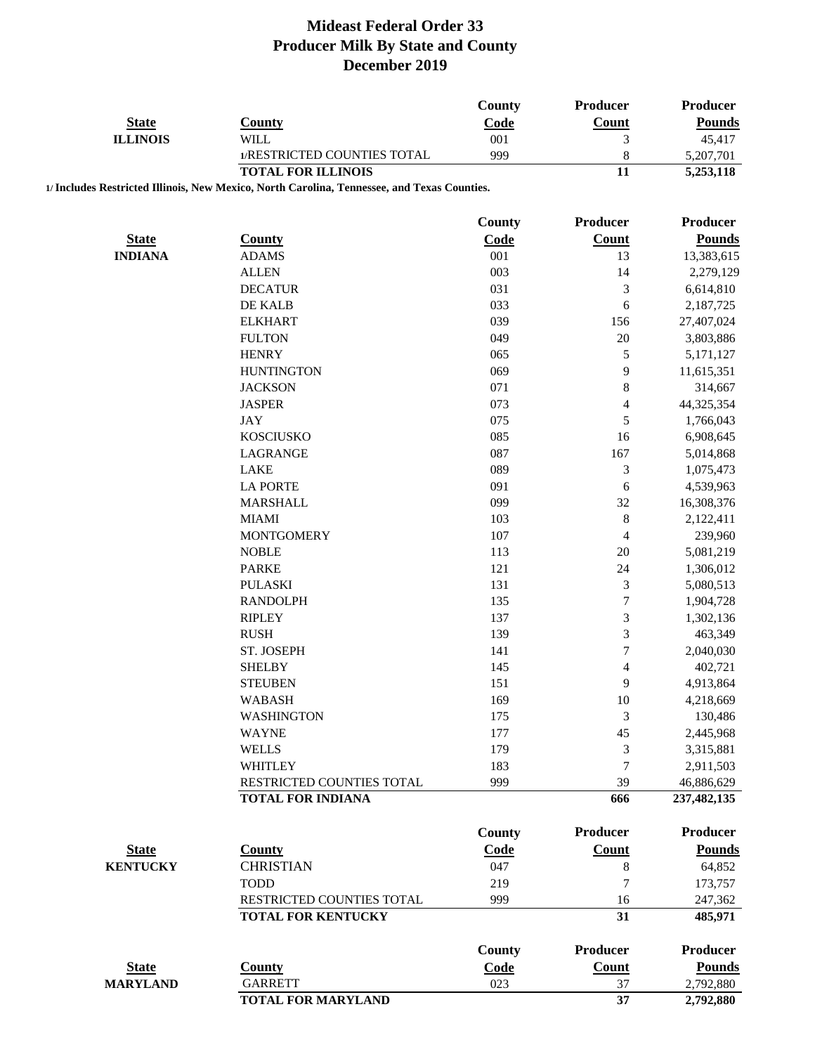| <b>State</b>    | <b>County</b>                                                                               | <b>County</b><br>Code | Producer<br><b>Count</b> | Producer<br><b>Pounds</b> |
|-----------------|---------------------------------------------------------------------------------------------|-----------------------|--------------------------|---------------------------|
| <b>ILLINOIS</b> | <b>WILL</b>                                                                                 | 001                   | 3                        | 45,417                    |
|                 | 1/RESTRICTED COUNTIES TOTAL                                                                 | 999                   | 8                        | 5,207,701                 |
|                 | <b>TOTAL FOR ILLINOIS</b>                                                                   |                       | 11                       | 5,253,118                 |
|                 | 1/ Includes Restricted Illinois, New Mexico, North Carolina, Tennessee, and Texas Counties. |                       |                          |                           |
|                 |                                                                                             | County                | <b>Producer</b>          | Producer                  |
| <b>State</b>    | County                                                                                      | Code                  | <b>Count</b>             | <b>Pounds</b>             |
| <b>INDIANA</b>  | <b>ADAMS</b>                                                                                | 001                   | 13                       | 13,383,615                |
|                 | <b>ALLEN</b>                                                                                | 003                   | 14                       | 2,279,129                 |
|                 | <b>DECATUR</b>                                                                              | 031                   | 3                        | 6,614,810                 |
|                 | DE KALB                                                                                     | 033                   | 6                        | 2,187,725                 |
|                 | <b>ELKHART</b>                                                                              | 039                   | 156                      | 27,407,024                |
|                 | <b>FULTON</b>                                                                               | 049                   | $20\,$                   | 3,803,886                 |
|                 | <b>HENRY</b>                                                                                | 065                   | 5                        | 5,171,127                 |
|                 | <b>HUNTINGTON</b>                                                                           | 069                   | $\overline{9}$           | 11,615,351                |
|                 | <b>JACKSON</b>                                                                              | 071                   | $\,8\,$                  | 314,667                   |
|                 | <b>JASPER</b>                                                                               | 073                   | 4                        | 44,325,354                |
|                 | JAY                                                                                         | 075                   | 5                        | 1,766,043                 |
|                 | <b>KOSCIUSKO</b>                                                                            | 085                   | 16                       | 6,908,645                 |
|                 | LAGRANGE                                                                                    | 087                   | 167                      | 5,014,868                 |
|                 | LAKE                                                                                        | 089                   | $\mathfrak{Z}$           | 1,075,473                 |
|                 | <b>LA PORTE</b>                                                                             | 091                   | 6                        | 4,539,963                 |
|                 | <b>MARSHALL</b>                                                                             | 099                   | 32                       | 16,308,376                |
|                 | <b>MIAMI</b>                                                                                | 103                   | $\,8$                    | 2,122,411                 |
|                 | <b>MONTGOMERY</b>                                                                           | 107                   | $\overline{4}$           | 239,960                   |
|                 | <b>NOBLE</b>                                                                                | 113                   | 20                       | 5,081,219                 |
|                 | <b>PARKE</b>                                                                                | 121                   | 24                       | 1,306,012                 |
|                 | <b>PULASKI</b>                                                                              | 131                   | 3                        | 5,080,513                 |
|                 | <b>RANDOLPH</b>                                                                             | 135                   | $\sqrt{ }$               | 1,904,728                 |
|                 | <b>RIPLEY</b>                                                                               | 137                   | 3                        | 1,302,136                 |
|                 | <b>RUSH</b>                                                                                 | 139                   | 3                        | 463,349                   |
|                 | ST. JOSEPH                                                                                  | 141                   | $\sqrt{ }$               | 2,040,030                 |
|                 | <b>SHELBY</b>                                                                               | 145                   | 4                        | 402,721                   |
|                 | <b>STEUBEN</b>                                                                              | 151                   | 9                        | 4,913,864                 |
|                 | <b>WABASH</b>                                                                               | 169                   | 10                       | 4,218,669                 |
|                 | <b>WASHINGTON</b>                                                                           | 175                   | 3                        | 130,486                   |
|                 | <b>WAYNE</b>                                                                                | 177                   | 45                       | 2,445,968                 |
|                 | <b>WELLS</b>                                                                                | 179                   | 3                        | 3,315,881                 |
|                 | WHITLEY                                                                                     | 183                   | 7                        | 2,911,503                 |
|                 | RESTRICTED COUNTIES TOTAL                                                                   | 999                   | 39                       | 46,886,629                |
|                 | <b>TOTAL FOR INDIANA</b>                                                                    |                       | 666                      | 237,482,135               |
|                 |                                                                                             | County                | <b>Producer</b>          | <b>Producer</b>           |
| <b>State</b>    | <b>County</b>                                                                               | <b>Code</b>           | <b>Count</b>             | <b>Pounds</b>             |
| <b>KENTUCKY</b> | <b>CHRISTIAN</b>                                                                            | 047                   | 8                        | 64,852                    |
|                 | <b>TODD</b>                                                                                 | 219                   | 7                        | 173,757                   |
|                 | RESTRICTED COUNTIES TOTAL                                                                   | 999                   | 16                       | 247,362                   |
|                 | <b>TOTAL FOR KENTUCKY</b>                                                                   |                       | 31                       | 485,971                   |
|                 |                                                                                             | <b>County</b>         | <b>Producer</b>          | <b>Producer</b>           |
| <b>State</b>    | <b>County</b>                                                                               | Code                  | <b>Count</b>             | <b>Pounds</b>             |
| <b>MARYLAND</b> | <b>GARRETT</b>                                                                              | 023                   | 37                       | 2,792,880                 |
|                 | <b>TOTAL FOR MARYLAND</b>                                                                   |                       | 37                       | 2,792,880                 |
|                 |                                                                                             |                       |                          |                           |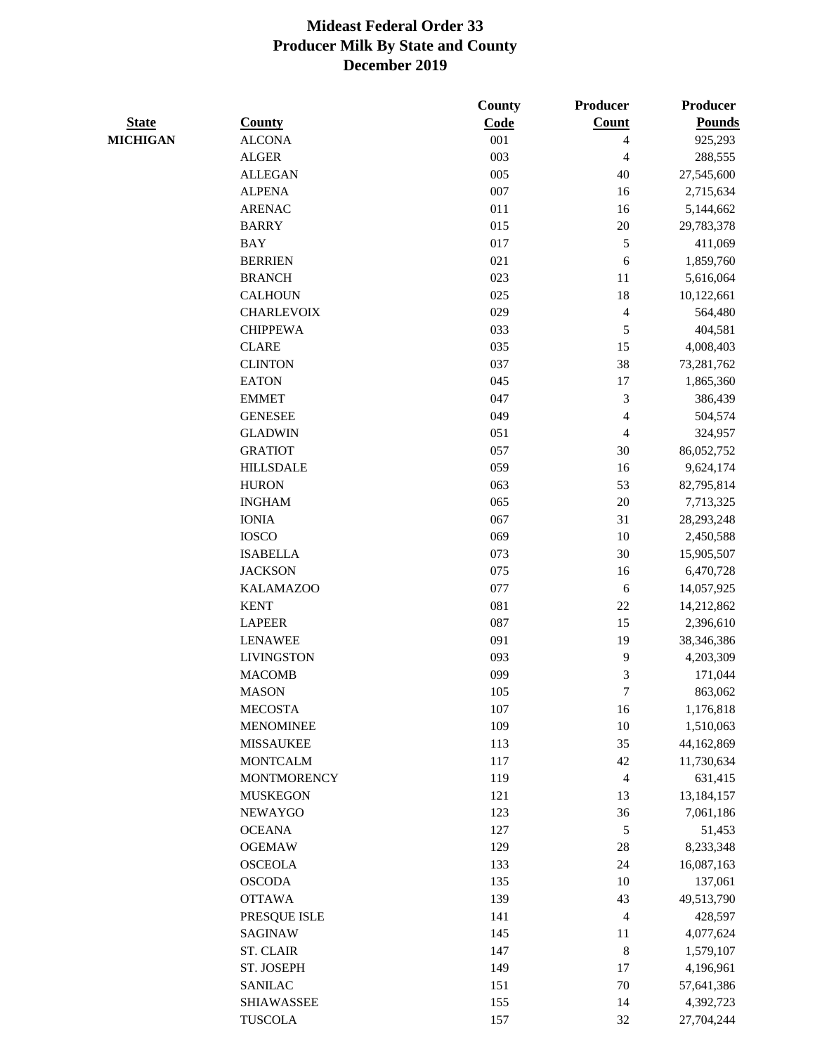|                 |                    | <b>County</b> | Producer                | Producer      |
|-----------------|--------------------|---------------|-------------------------|---------------|
| <b>State</b>    | <b>County</b>      | Code          | Count                   | <b>Pounds</b> |
| <b>MICHIGAN</b> | <b>ALCONA</b>      | 001           | 4                       | 925,293       |
|                 | <b>ALGER</b>       | 003           | 4                       | 288,555       |
|                 | <b>ALLEGAN</b>     | 005           | 40                      | 27,545,600    |
|                 | <b>ALPENA</b>      | 007           | 16                      | 2,715,634     |
|                 | <b>ARENAC</b>      | 011           | 16                      | 5,144,662     |
|                 | <b>BARRY</b>       | 015           | $20\,$                  | 29,783,378    |
|                 | <b>BAY</b>         | 017           | $\sqrt{5}$              | 411,069       |
|                 | <b>BERRIEN</b>     | 021           | 6                       | 1,859,760     |
|                 | <b>BRANCH</b>      | 023           | 11                      | 5,616,064     |
|                 | <b>CALHOUN</b>     | 025           | 18                      | 10,122,661    |
|                 | <b>CHARLEVOIX</b>  | 029           | 4                       | 564,480       |
|                 | <b>CHIPPEWA</b>    | 033           | $\mathfrak s$           | 404,581       |
|                 | <b>CLARE</b>       | 035           | 15                      | 4,008,403     |
|                 | <b>CLINTON</b>     | 037           | 38                      | 73,281,762    |
|                 | <b>EATON</b>       | 045           | 17                      | 1,865,360     |
|                 | <b>EMMET</b>       | 047           | 3                       | 386,439       |
|                 | <b>GENESEE</b>     | 049           | 4                       | 504,574       |
|                 | <b>GLADWIN</b>     | 051           | $\overline{\mathbf{4}}$ | 324,957       |
|                 | <b>GRATIOT</b>     | 057           | 30                      | 86,052,752    |
|                 | <b>HILLSDALE</b>   | 059           | 16                      | 9,624,174     |
|                 | <b>HURON</b>       | 063           | 53                      | 82,795,814    |
|                 | <b>INGHAM</b>      | 065           | 20                      | 7,713,325     |
|                 | <b>IONIA</b>       | 067           | 31                      | 28,293,248    |
|                 | <b>IOSCO</b>       | 069           | 10                      | 2,450,588     |
|                 | <b>ISABELLA</b>    | 073           | 30                      | 15,905,507    |
|                 | <b>JACKSON</b>     | 075           | 16                      | 6,470,728     |
|                 | <b>KALAMAZOO</b>   | 077           | $\sqrt{6}$              | 14,057,925    |
|                 | <b>KENT</b>        | 081           | $22\,$                  | 14,212,862    |
|                 | <b>LAPEER</b>      | 087           | 15                      | 2,396,610     |
|                 | <b>LENAWEE</b>     | 091           | 19                      | 38,346,386    |
|                 | <b>LIVINGSTON</b>  | 093           | $\mathbf{9}$            | 4,203,309     |
|                 | <b>MACOMB</b>      | 099           | 3                       | 171,044       |
|                 | <b>MASON</b>       | 105           | 7                       | 863,062       |
|                 | <b>MECOSTA</b>     | $107\,$       | 16                      | 1,176,818     |
|                 | <b>MENOMINEE</b>   | 109           | 10                      | 1,510,063     |
|                 | <b>MISSAUKEE</b>   | 113           | 35                      | 44,162,869    |
|                 | <b>MONTCALM</b>    | 117           | $42\,$                  | 11,730,634    |
|                 | <b>MONTMORENCY</b> | 119           | $\overline{4}$          | 631,415       |
|                 | <b>MUSKEGON</b>    | 121           | 13                      | 13,184,157    |
|                 | NEWAYGO            | 123           | 36                      | 7,061,186     |
|                 | <b>OCEANA</b>      | 127           | $\sqrt{5}$              | 51,453        |
|                 | <b>OGEMAW</b>      | 129           | $28\,$                  | 8,233,348     |
|                 | <b>OSCEOLA</b>     | 133           | 24                      | 16,087,163    |
|                 | <b>OSCODA</b>      | 135           | 10                      | 137,061       |
|                 | <b>OTTAWA</b>      | 139           | 43                      | 49,513,790    |
|                 | PRESQUE ISLE       | 141           | $\overline{4}$          | 428,597       |
|                 | SAGINAW            | 145           | 11                      | 4,077,624     |
|                 | <b>ST. CLAIR</b>   | 147           | $\,8\,$                 | 1,579,107     |
|                 | ST. JOSEPH         | 149           | 17                      | 4,196,961     |
|                 | <b>SANILAC</b>     | 151           | $70\,$                  | 57,641,386    |
|                 | <b>SHIAWASSEE</b>  | 155           | 14                      | 4,392,723     |
|                 | <b>TUSCOLA</b>     | 157           | $32\,$                  | 27,704,244    |
|                 |                    |               |                         |               |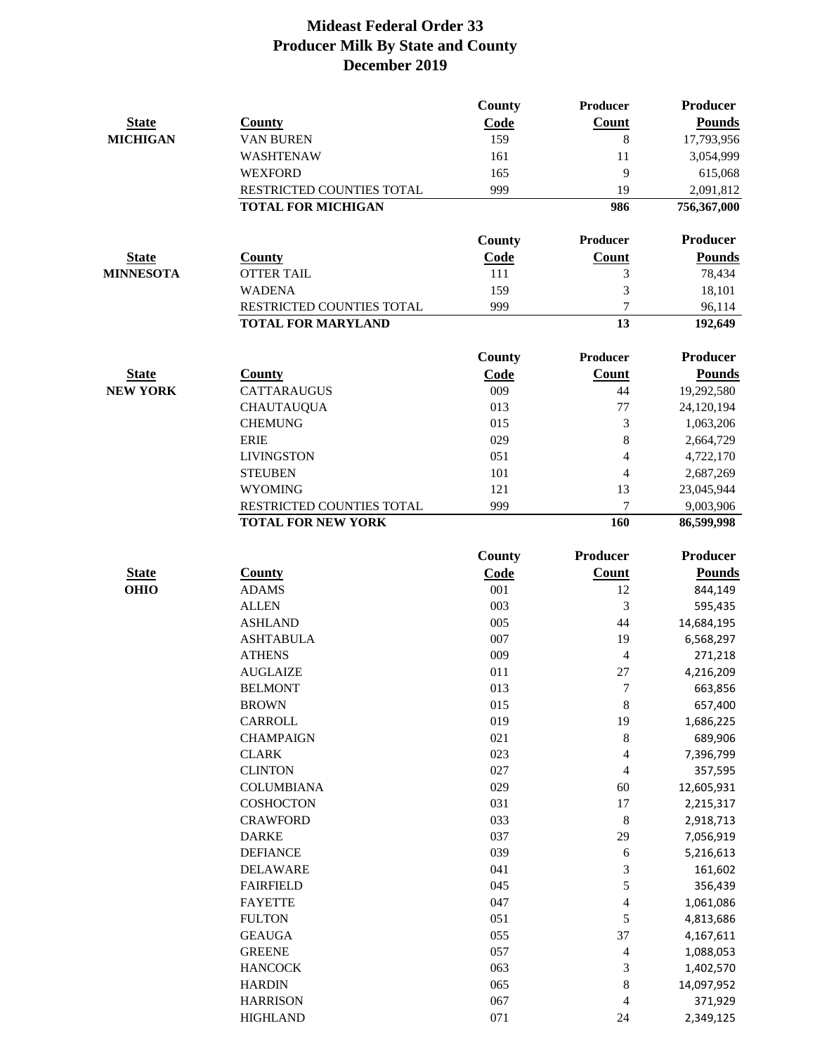|                  |                                             | County        | Producer                 | Producer                |
|------------------|---------------------------------------------|---------------|--------------------------|-------------------------|
| <b>State</b>     | <b>County</b>                               | Code          | Count                    | <b>Pounds</b>           |
| <b>MICHIGAN</b>  | <b>VAN BUREN</b>                            | 159           | 8                        | 17,793,956              |
|                  | WASHTENAW                                   | 161           | 11                       | 3,054,999               |
|                  | <b>WEXFORD</b>                              | 165           | 9                        | 615,068                 |
|                  | RESTRICTED COUNTIES TOTAL                   | 999           | 19                       | 2,091,812               |
|                  | <b>TOTAL FOR MICHIGAN</b>                   |               | 986                      | 756,367,000             |
|                  |                                             | County        | Producer                 | Producer                |
| <b>State</b>     | <b>County</b>                               | Code          | <b>Count</b>             | <b>Pounds</b>           |
| <b>MINNESOTA</b> | <b>OTTER TAIL</b>                           | 111           | 3                        | 78,434                  |
|                  | <b>WADENA</b>                               | 159           | 3                        | 18,101                  |
|                  | RESTRICTED COUNTIES TOTAL                   | 999           | $\overline{7}$           | 96,114                  |
|                  | <b>TOTAL FOR MARYLAND</b>                   |               | $\overline{13}$          | 192,649                 |
|                  |                                             | County        | Producer                 | <b>Producer</b>         |
| <b>State</b>     | <b>County</b>                               | Code          | Count                    | <b>Pounds</b>           |
| <b>NEW YORK</b>  | <b>CATTARAUGUS</b>                          | 009           | 44                       | 19,292,580              |
|                  | <b>CHAUTAUQUA</b>                           | 013           | 77                       | 24,120,194              |
|                  | <b>CHEMUNG</b>                              | 015           | 3                        | 1,063,206               |
|                  | <b>ERIE</b>                                 | 029           | 8                        | 2,664,729               |
|                  | <b>LIVINGSTON</b>                           | 051           | $\overline{4}$           | 4,722,170               |
|                  | <b>STEUBEN</b>                              | 101           | 4                        | 2,687,269               |
|                  | <b>WYOMING</b><br>RESTRICTED COUNTIES TOTAL | 121<br>999    | 13<br>7                  | 23,045,944              |
|                  | <b>TOTAL FOR NEW YORK</b>                   |               | 160                      | 9,003,906<br>86,599,998 |
|                  |                                             | <b>County</b> | Producer                 | Producer                |
| <b>State</b>     | <b>County</b>                               | Code          | <b>Count</b>             | <b>Pounds</b>           |
| <b>OHIO</b>      | <b>ADAMS</b>                                | 001           | 12                       | 844,149                 |
|                  | <b>ALLEN</b>                                | 003           | 3                        | 595,435                 |
|                  | <b>ASHLAND</b>                              | 005           | 44                       | 14,684,195              |
|                  | <b>ASHTABULA</b>                            | 007           | 19                       | 6,568,297               |
|                  | <b>ATHENS</b>                               | 009           | 4                        | 271,218                 |
|                  | <b>AUGLAIZE</b>                             | 011           | 27                       | 4,216,209               |
|                  | <b>BELMONT</b>                              | 013           | 7                        | 663,856                 |
|                  | <b>BROWN</b>                                | 015           | 8                        | 657,400                 |
|                  | CARROLL                                     | 019           | 19                       | 1,686,225               |
|                  | <b>CHAMPAIGN</b>                            | 021           | 8                        | 689,906                 |
|                  | <b>CLARK</b>                                | 023           | 4                        | 7,396,799               |
|                  | <b>CLINTON</b>                              | 027           | 4                        | 357,595                 |
|                  | <b>COLUMBIANA</b>                           | 029           | $60\,$                   | 12,605,931              |
|                  | <b>COSHOCTON</b>                            | 031           | 17                       | 2,215,317               |
|                  | <b>CRAWFORD</b>                             | 033           | $\,8\,$                  | 2,918,713               |
|                  | <b>DARKE</b>                                | 037           | 29                       | 7,056,919               |
|                  | <b>DEFIANCE</b>                             | 039           | 6                        | 5,216,613               |
|                  | <b>DELAWARE</b>                             | 041           | 3                        | 161,602                 |
|                  | <b>FAIRFIELD</b>                            | 045           | 5                        | 356,439                 |
|                  | <b>FAYETTE</b>                              | 047           | 4                        | 1,061,086               |
|                  | <b>FULTON</b>                               | 051           | 5                        | 4,813,686               |
|                  | <b>GEAUGA</b>                               | 055           | 37                       | 4,167,611               |
|                  | <b>GREENE</b>                               | 057           | $\overline{\mathcal{L}}$ | 1,088,053               |
|                  | <b>HANCOCK</b>                              | 063           | 3                        | 1,402,570               |
|                  | <b>HARDIN</b>                               | 065           | 8                        | 14,097,952              |
|                  | <b>HARRISON</b>                             | 067           | 4                        | 371,929                 |
|                  | <b>HIGHLAND</b>                             | 071           | 24                       | 2,349,125               |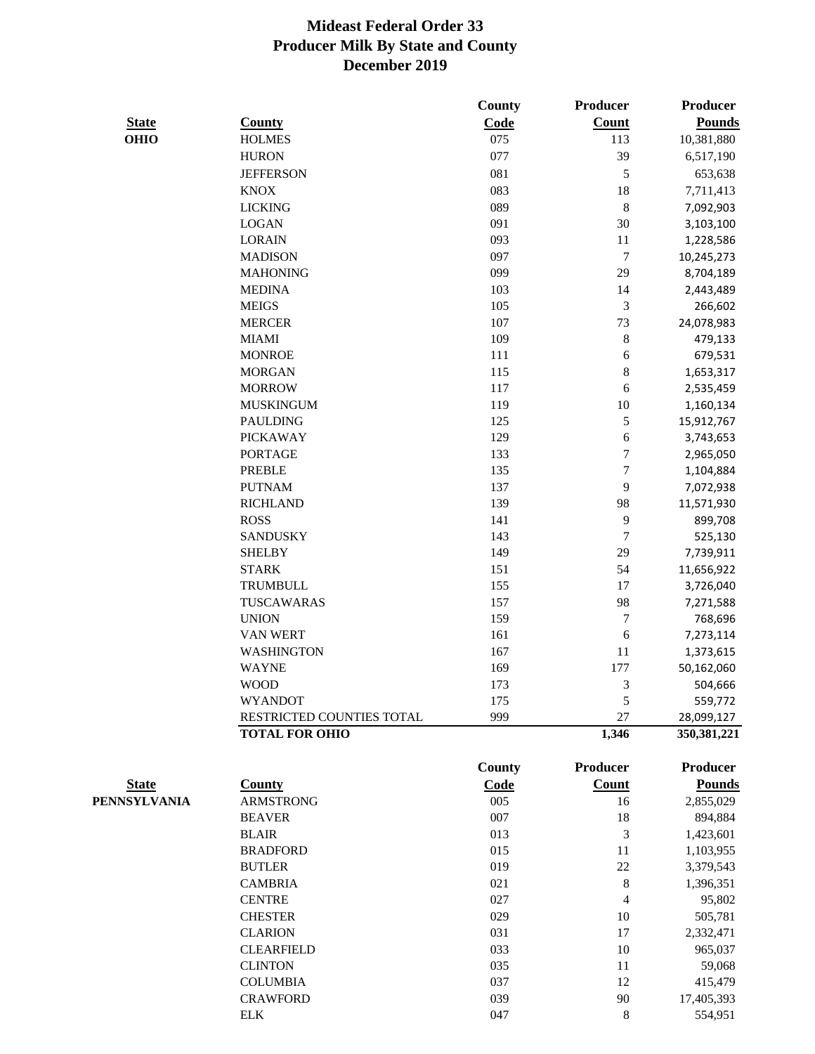|              |                                  | County     | Producer         | <b>Producer</b>   |
|--------------|----------------------------------|------------|------------------|-------------------|
| <b>State</b> | <b>County</b>                    | Code       | <b>Count</b>     | <b>Pounds</b>     |
| <b>OHIO</b>  | <b>HOLMES</b>                    | 075        | 113              | 10,381,880        |
|              | <b>HURON</b>                     | 077        | 39               | 6,517,190         |
|              | <b>JEFFERSON</b>                 | 081        | $\sqrt{5}$       | 653,638           |
|              | <b>KNOX</b>                      | 083        | 18               | 7,711,413         |
|              | <b>LICKING</b>                   | 089        | $\,8\,$          | 7,092,903         |
|              | <b>LOGAN</b>                     | 091        | 30               | 3,103,100         |
|              | <b>LORAIN</b>                    | 093        | 11               | 1,228,586         |
|              | <b>MADISON</b>                   | 097        | $\tau$           | 10,245,273        |
|              | <b>MAHONING</b>                  | 099        | 29               | 8,704,189         |
|              | <b>MEDINA</b>                    | 103        | 14               | 2,443,489         |
|              | <b>MEIGS</b>                     | 105        | $\mathfrak{Z}$   | 266,602           |
|              | <b>MERCER</b>                    | 107        | 73               | 24,078,983        |
|              | <b>MIAMI</b>                     | 109        | $\,8\,$          | 479,133           |
|              | <b>MONROE</b>                    | 111        | 6                | 679,531           |
|              | <b>MORGAN</b>                    | 115        | 8                | 1,653,317         |
|              | <b>MORROW</b>                    | 117        | 6                | 2,535,459         |
|              | <b>MUSKINGUM</b>                 | 119        | 10               | 1,160,134         |
|              | <b>PAULDING</b>                  | 125        | $\sqrt{5}$       | 15,912,767        |
|              | <b>PICKAWAY</b>                  | 129        | 6                | 3,743,653         |
|              | <b>PORTAGE</b>                   | 133        | $\tau$           | 2,965,050         |
|              | <b>PREBLE</b>                    | 135        | $\tau$           | 1,104,884         |
|              | <b>PUTNAM</b>                    | 137        | 9                | 7,072,938         |
|              | <b>RICHLAND</b>                  | 139        | 98               | 11,571,930        |
|              | <b>ROSS</b>                      | 141        | $\overline{9}$   | 899,708           |
|              | <b>SANDUSKY</b>                  | 143        | $\tau$           | 525,130           |
|              | <b>SHELBY</b>                    | 149        | 29               | 7,739,911         |
|              | <b>STARK</b>                     | 151        | 54               | 11,656,922        |
|              | TRUMBULL                         | 155        | 17               | 3,726,040         |
|              | TUSCAWARAS                       | 157        | 98               | 7,271,588         |
|              | <b>UNION</b>                     | 159        | $\boldsymbol{7}$ | 768,696           |
|              | <b>VAN WERT</b>                  | 161        | 6                | 7,273,114         |
|              | <b>WASHINGTON</b>                | 167        | 11               | 1,373,615         |
|              | <b>WAYNE</b>                     | 169        | 177              | 50,162,060        |
|              | <b>WOOD</b>                      | 173        | 3                | 504,666           |
|              | <b>WYANDOT</b>                   | 175        | 5                | 559,772           |
|              | RESTRICTED COUNTIES TOTAL        | 999        | 27               | 28,099,127        |
|              | <b>TOTAL FOR OHIO</b>            |            | 1,346            | 350, 381, 221     |
|              |                                  | County     | Producer         | <b>Producer</b>   |
| <b>State</b> | <b>County</b>                    | Code       | Count            | <b>Pounds</b>     |
|              | <b>ARMSTRONG</b>                 | 005        | 16               | 2,855,029         |
| PENNSYLVANIA | <b>BEAVER</b>                    | 007        | 18               | 894,884           |
|              | <b>BLAIR</b>                     | 013        | $\mathfrak{Z}$   | 1,423,601         |
|              | <b>BRADFORD</b>                  | 015        | 11               | 1,103,955         |
|              |                                  |            | 22               |                   |
|              | <b>BUTLER</b><br><b>CAMBRIA</b>  | 019<br>021 | $\,8\,$          | 3,379,543         |
|              | <b>CENTRE</b>                    | 027        | 4                | 1,396,351         |
|              |                                  |            |                  | 95,802            |
|              | <b>CHESTER</b><br><b>CLARION</b> | 029<br>031 | 10<br>17         | 505,781           |
|              | <b>CLEARFIELD</b>                | 033        | 10               | 2,332,471         |
|              | <b>CLINTON</b>                   | 035        | 11               | 965,037<br>59,068 |
|              |                                  |            |                  |                   |

COLUMBIA 037 12 415,479 CRAWFORD 039 90 17,405,393 ELK 8 554,951